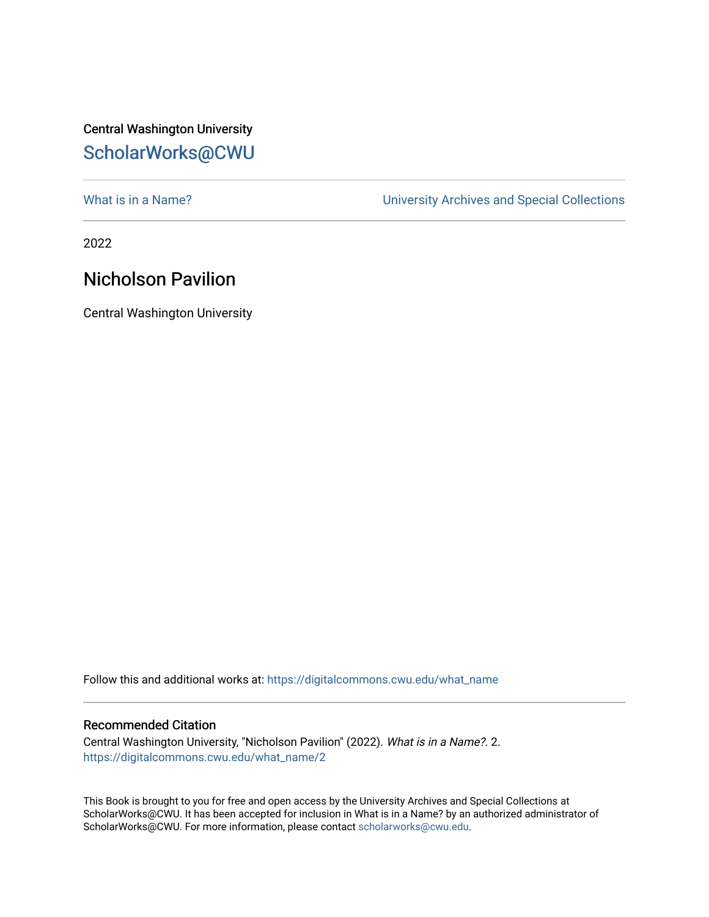## Central Washington University [ScholarWorks@CWU](https://digitalcommons.cwu.edu/)

What is in a Name?<br>
University Archives and Special Collections

2022

## Nicholson Pavilion

Central Washington University

Follow this and additional works at: [https://digitalcommons.cwu.edu/what\\_name](https://digitalcommons.cwu.edu/what_name?utm_source=digitalcommons.cwu.edu%2Fwhat_name%2F2&utm_medium=PDF&utm_campaign=PDFCoverPages) 

## Recommended Citation

Central Washington University, "Nicholson Pavilion" (2022). What is in a Name?. 2. [https://digitalcommons.cwu.edu/what\\_name/2](https://digitalcommons.cwu.edu/what_name/2?utm_source=digitalcommons.cwu.edu%2Fwhat_name%2F2&utm_medium=PDF&utm_campaign=PDFCoverPages) 

This Book is brought to you for free and open access by the University Archives and Special Collections at ScholarWorks@CWU. It has been accepted for inclusion in What is in a Name? by an authorized administrator of ScholarWorks@CWU. For more information, please contact [scholarworks@cwu.edu](mailto:scholarworks@cwu.edu).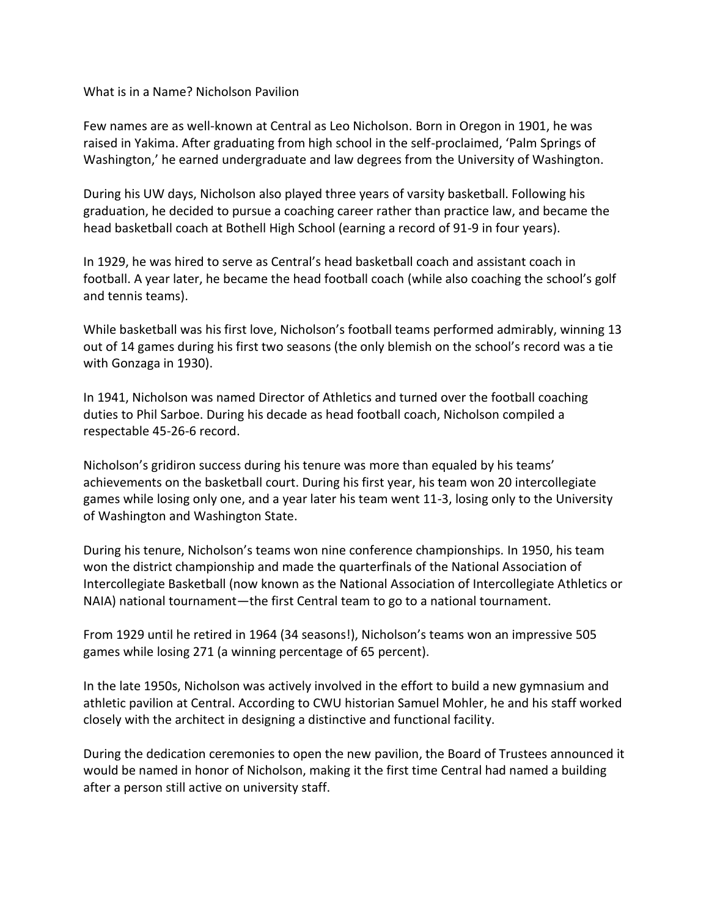What is in a Name? Nicholson Pavilion

Few names are as well-known at Central as Leo Nicholson. Born in Oregon in 1901, he was raised in Yakima. After graduating from high school in the self-proclaimed, 'Palm Springs of Washington,' he earned undergraduate and law degrees from the University of Washington.

During his UW days, Nicholson also played three years of varsity basketball. Following his graduation, he decided to pursue a coaching career rather than practice law, and became the head basketball coach at Bothell High School (earning a record of 91-9 in four years).

In 1929, he was hired to serve as Central's head basketball coach and assistant coach in football. A year later, he became the head football coach (while also coaching the school's golf and tennis teams).

While basketball was his first love, Nicholson's football teams performed admirably, winning 13 out of 14 games during his first two seasons (the only blemish on the school's record was a tie with Gonzaga in 1930).

In 1941, Nicholson was named Director of Athletics and turned over the football coaching duties to Phil Sarboe. During his decade as head football coach, Nicholson compiled a respectable 45-26-6 record.

Nicholson's gridiron success during his tenure was more than equaled by his teams' achievements on the basketball court. During his first year, his team won 20 intercollegiate games while losing only one, and a year later his team went 11-3, losing only to the University of Washington and Washington State.

During his tenure, Nicholson's teams won nine conference championships. In 1950, his team won the district championship and made the quarterfinals of the National Association of Intercollegiate Basketball (now known as the National Association of Intercollegiate Athletics or NAIA) national tournament—the first Central team to go to a national tournament.

From 1929 until he retired in 1964 (34 seasons!), Nicholson's teams won an impressive 505 games while losing 271 (a winning percentage of 65 percent).

In the late 1950s, Nicholson was actively involved in the effort to build a new gymnasium and athletic pavilion at Central. According to CWU historian Samuel Mohler, he and his staff worked closely with the architect in designing a distinctive and functional facility.

During the dedication ceremonies to open the new pavilion, the Board of Trustees announced it would be named in honor of Nicholson, making it the first time Central had named a building after a person still active on university staff.